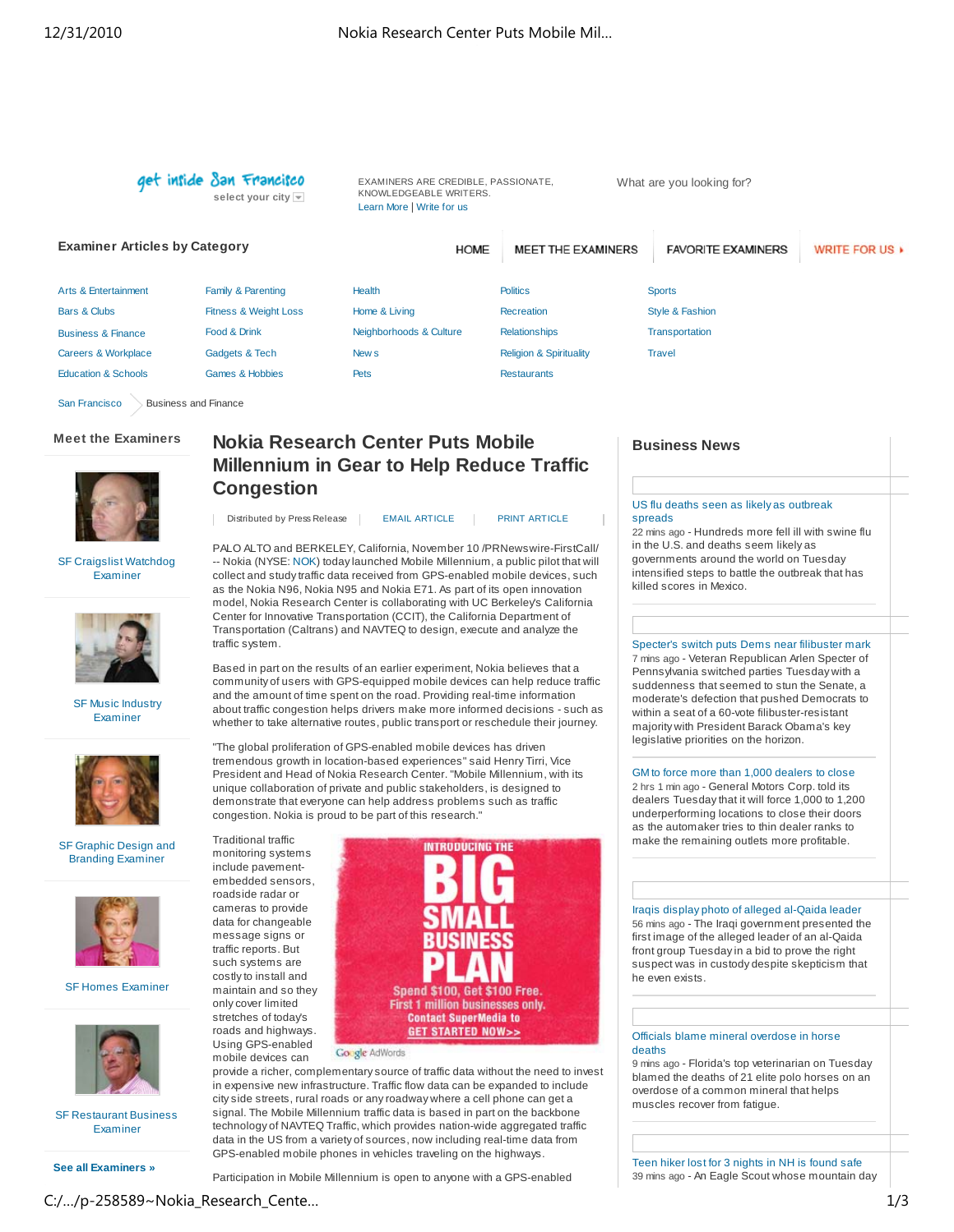get inside San Francisco **select your city** 

EXAMINERS ARE CREDIBLE, PASSIONATE, KNOWLEDGEABLE WRITERS. Learn More | Write for us

What are you looking for?

**Examiner Articles by Category** MEET THE EXAMINERS **FAVORITE EXAMINERS HOME** WRITE FOR US > Arts & Entertainment Family & Parenting Health **Politics Sports** Bars & Clubs Fitness & Weight Loss Home & Living **Recreation** Style & Fashion Business & Finance Food & Drink Neighborhoods & Culture **Relationships Transportation** Careers & Workplace Gadgets & Tech New s Religion & Spirituality **Travel** Education & Schools Games & Hobbies Pets Restaurants San Francisco Business and Finance

# **Meet the Examiners**



# **Nokia Research Center Puts Mobile Millennium in Gear to Help Reduce Traffic Congestion**

SF Craigslist Watchdog Examiner



SF Music Industry Examiner



SF Graphic Design and Branding Examiner



SF Homes Examiner



SF Restaurant Business Examiner

**See all Examiners »**

# Distributed by Press Release | EMAIL ARTICLE | PRINT ARTICLE

PALO ALTO and BERKELEY, California, November 10 /PRNewswire-FirstCall/ -- Nokia (NYSE: NOK) today launched Mobile Millennium, a public pilot that will collect and study traffic data received from GPS-enabled mobile devices, such as the Nokia N96, Nokia N95 and Nokia E71. As part of its open innovation model, Nokia Research Center is collaborating with UC Berkeley's California Center for Innovative Transportation (CCIT), the California Department of Transportation (Caltrans) and NAVTEQ to design, execute and analyze the traffic system.

Based in part on the results of an earlier experiment, Nokia believes that a community of users with GPS-equipped mobile devices can help reduce traffic and the amount of time spent on the road. Providing real-time information about traffic congestion helps drivers make more informed decisions - such as whether to take alternative routes, public transport or reschedule their journey.

"The global proliferation of GPS-enabled mobile devices has driven tremendous growth in location-based experiences" said Henry Tirri, Vice President and Head of Nokia Research Center. "Mobile Millennium, with its unique collaboration of private and public stakeholders, is designed to demonstrate that everyone can help address problems such as traffic congestion. Nokia is proud to be part of this research."

Traditional traffic monitoring systems include pavementembedded sensors, roadside radar or cameras to provide data for changeable message signs or traffic reports. But such systems are costly to install and maintain and so they only cover limited stretches of today's roads and highways. Using GPS-enabled mobile devices can



provide a richer, complementary source of traffic data without the need to invest in expensive new infrastructure. Traffic flow data can be expanded to include city side streets, rural roads or any roadway where a cell phone can get a signal. The Mobile Millennium traffic data is based in part on the backbone technology of NAVTEQ Traffic, which provides nation-wide aggregated traffic data in the US from a variety of sources, now including real-time data from GPS-enabled mobile phones in vehicles traveling on the highways.

Participation in Mobile Millennium is open to anyone with a GPS-enabled

# **Business News**

# US flu deaths seen as likely as outbreak spreads

22 mins ago - Hundreds more fell ill with swine flu in the U.S. and deaths seem likely as governments around the world on Tuesday intensified steps to battle the outbreak that has killed scores in Mexico.

Specter's switch puts Dems near filibuster mark 7 mins ago - Veteran Republican Arlen Specter of Pennsylvania switched parties Tuesday with a suddenness that seemed to stun the Senate, a moderate's defection that pushed Democrats to within a seat of a 60-vote filibuster-resistant majority with President Barack Obama's key legislative priorities on the horizon.

# GM to force more than 1,000 dealers to close

2 hrs 1 min ago - General Motors Corp. told its dealers Tuesday that it will force 1,000 to 1,200 underperforming locations to close their doors as the automaker tries to thin dealer ranks to make the remaining outlets more profitable.

Iraqis display photo of alleged al-Qaida leader 56 mins ago - The Iraqi government presented the first image of the alleged leader of an al-Qaida front group Tuesday in a bid to prove the right suspect was in custody despite skepticism that he even exists.

## Officials blame mineral overdose in horse deaths

9 mins ago - Florida's top veterinarian on Tuesday blamed the deaths of 21 elite polo horses on an overdose of a common mineral that helps muscles recover from fatigue.

Teen hiker lost for 3 nights in NH is found safe 39 mins ago - An Eagle Scout whose mountain day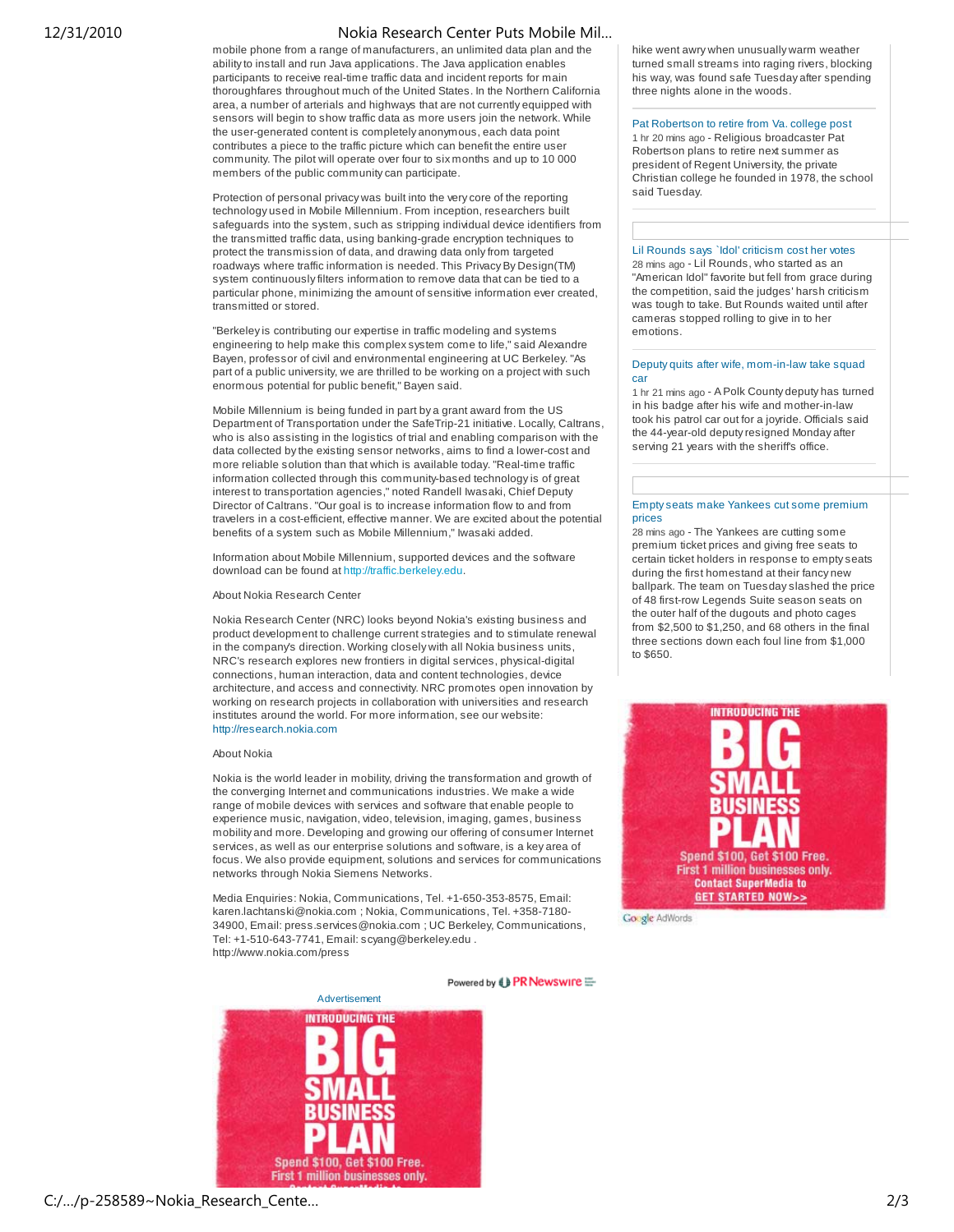# 12/31/2010 Nokia Research Center Puts Mobile Mil…

mobile phone from a range of manufacturers, an unlimited data plan and the ability to install and run Java applications. The Java application enables participants to receive real-time traffic data and incident reports for main thoroughfares throughout much of the United States. In the Northern California area, a number of arterials and highways that are not currently equipped with sensors will begin to show traffic data as more users join the network. While the user-generated content is completely anonymous, each data point contributes a piece to the traffic picture which can benefit the entire user community. The pilot will operate over four to six months and up to 10 000 members of the public community can participate.

Protection of personal privacy was built into the very core of the reporting technology used in Mobile Millennium. From inception, researchers built safeguards into the system, such as stripping individual device identifiers from the transmitted traffic data, using banking-grade encryption techniques to protect the transmission of data, and drawing data only from targeted roadways where traffic information is needed. This Privacy By Design(TM) system continuously filters information to remove data that can be tied to a particular phone, minimizing the amount of sensitive information ever created, transmitted or stored.

"Berkeley is contributing our expertise in traffic modeling and systems engineering to help make this complex system come to life," said Alexandre Bayen, professor of civil and environmental engineering at UC Berkeley. "As part of a public university, we are thrilled to be working on a project with such enormous potential for public benefit," Bayen said.

Mobile Millennium is being funded in part by a grant award from the US Department of Transportation under the SafeTrip-21 initiative. Locally, Caltrans, who is also assisting in the logistics of trial and enabling comparison with the data collected by the existing sensor networks, aims to find a lower-cost and more reliable solution than that which is available today. "Real-time traffic information collected through this community-based technology is of great interest to transportation agencies," noted Randell Iwasaki, Chief Deputy Director of Caltrans. "Our goal is to increase information flow to and from travelers in a cost-efficient, effective manner. We are excited about the potential benefits of a system such as Mobile Millennium," Iwasaki added.

Information about Mobile Millennium, supported devices and the software download can be found at http://traffic.berkeley.edu.

#### About Nokia Research Center

Nokia Research Center (NRC) looks beyond Nokia's existing business and product development to challenge current strategies and to stimulate renewal in the company's direction. Working closely with all Nokia business units, NRC's research explores new frontiers in digital services, physical-digital connections, human interaction, data and content technologies, device architecture, and access and connectivity. NRC promotes open innovation by working on research projects in collaboration with universities and research institutes around the world. For more information, see our website: http://research.nokia.com

#### About Nokia

Nokia is the world leader in mobility, driving the transformation and growth of the converging Internet and communications industries. We make a wide range of mobile devices with services and software that enable people to experience music, navigation, video, television, imaging, games, business mobility and more. Developing and growing our offering of consumer Internet services, as well as our enterprise solutions and software, is a key area of focus. We also provide equipment, solutions and services for communications networks through Nokia Siemens Networks.

Media Enquiries: Nokia, Communications, Tel. +1-650-353-8575, Email: karen.lachtanski@nokia.com ; Nokia, Communications, Tel. +358-7180- 34900, Email: press.services@nokia.com ; UC Berkeley, Communications, Tel: +1-510-643-7741, Email: scyang@berkeley.edu . http://www.nokia.com/press

Powered by **( } PR Newswire**  $\equiv$ 



hike went awry when unusually warm weather turned small streams into raging rivers, blocking his way, was found safe Tuesday after spending three nights alone in the woods.

Pat Robertson to retire from Va. college post 1 hr 20 mins ago - Religious broadcaster Pat Robertson plans to retire next summer as president of Regent University, the private Christian college he founded in 1978, the school said Tuesday.

Lil Rounds says 'Idol' criticism cost her votes 28 mins ago - Lil Rounds, who started as an "American Idol" favorite but fell from grace during the competition, said the judges' harsh criticism was tough to take. But Rounds waited until after cameras stopped rolling to give in to her emotions.

#### Deputy quits after wife, mom-in-law take squad car

1 hr 21 mins ago - A Polk County deputy has turned in his badge after his wife and mother-in-law took his patrol car out for a joyride. Officials said the 44-year-old deputy resigned Monday after serving 21 years with the sheriff's office.

## Empty seats make Yankees cut some premium prices

28 mins ago - The Yankees are cutting some premium ticket prices and giving free seats to certain ticket holders in response to empty seats during the first homestand at their fancy new ballpark. The team on Tuesday slashed the price of 48 first-row Legends Suite season seats on the outer half of the dugouts and photo cages from \$2,500 to \$1,250, and 68 others in the final three sections down each foul line from \$1,000 to \$650.



Google AdWords